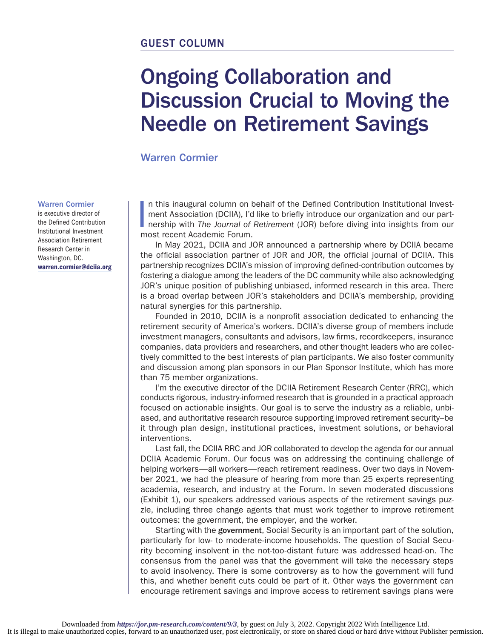## GUEST COLUMN

# Ongoing Collaboration and Discussion Crucial to Moving the Needle on Retirement Savings

Warren Cormier

#### Warren Cormier

is executive director of the Defined Contribution Institutional Investment Association Retirement Research Center in Washington, DC. warren.cormier@dciia.org |<br>|<br>| n this inaugural column on behalf of the Defined Contribution Institutional Investment Association (DCIIA), I'd like to briefly introduce our organization and our partnership with *The Journal of Retirement* (JOR) before diving into insights from our most recent Academic Forum.

In May 2021, DCIIA and JOR announced a partnership where by DCIIA became the official association partner of JOR and JOR, the official journal of DCIIA. This partnership recognizes DCIIA's mission of improving defined-contribution outcomes by fostering a dialogue among the leaders of the DC community while also acknowledging JOR's unique position of publishing unbiased, informed research in this area. There is a broad overlap between JOR's stakeholders and DCIIA's membership, providing natural synergies for this partnership.

Founded in 2010, DCIIA is a nonprofit association dedicated to enhancing the retirement security of America's workers. DCIIA's diverse group of members include investment managers, consultants and advisors, law firms, recordkeepers, insurance companies, data providers and researchers, and other thought leaders who are collectively committed to the best interests of plan participants. We also foster community and discussion among plan sponsors in our Plan Sponsor Institute, which has more than 75 member organizations.

I'm the executive director of the DCIIA Retirement Research Center (RRC), which conducts rigorous, industry-informed research that is grounded in a practical approach focused on actionable insights. Our goal is to serve the industry as a reliable, unbiased, and authoritative research resource supporting improved retirement security–be it through plan design, institutional practices, investment solutions, or behavioral interventions.

Last fall, the DCIIA RRC and JOR collaborated to develop the agenda for our annual DCIIA Academic Forum. Our focus was on addressing the continuing challenge of helping workers—all workers—reach retirement readiness. Over two days in November 2021, we had the pleasure of hearing from more than 25 experts representing academia, research, and industry at the Forum. In seven moderated discussions (Exhibit 1), our speakers addressed various aspects of the retirement savings puzzle, including three change agents that must work together to improve retirement outcomes: the government, the employer, and the worker.

Starting with the government, Social Security is an important part of the solution, particularly for low- to moderate-income households. The question of Social Security becoming insolvent in the not-too-distant future was addressed head-on. The consensus from the panel was that the government will take the necessary steps to avoid insolvency. There is some controversy as to how the government will fund this, and whether benefit cuts could be part of it. Other ways the government can encourage retirement savings and improve access to retirement savings plans were